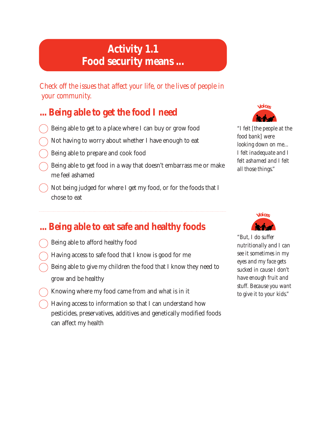# **Activity 1.1 Food security means ...**

*Check off the issues that affect your life, or the lives of people in your community.*

## **... Being able to get the food I need**

- Being able to get to a place where I can buy or grow food
- Not having to worry about whether I have enough to eat
- Being able to prepare and cook food
- Being able to get food in a way that doesn't embarrass me or make me feel ashamed
- Not being judged for where I get my food, or for the foods that I chose to eat



*"I felt [the people at the food bank] were looking down on me... I felt inadequate and I felt ashamed and I felt all those things."*

## **... Being able to eat safe and healthy foods**

- Being able to afford healthy food
- Having access to safe food that I know is good for me
- Being able to give my children the food that I know they need to grow and be healthy
- Knowing where my food came from and what is in it
- Having access to information so that I can understand how pesticides, preservatives, additives and genetically modified foods can affect my health



*"But, I do suffer nutritionally and I can see it sometimes in my eyes and my face gets sucked in cause I don't have enough fruit and stuff. Because you want to give it to your kids."*